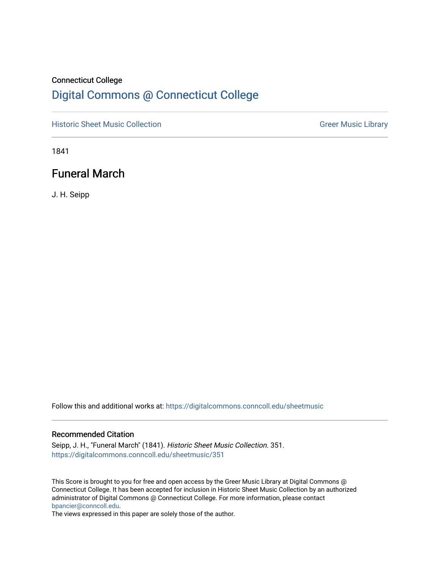## Connecticut College [Digital Commons @ Connecticut College](https://digitalcommons.conncoll.edu/)

[Historic Sheet Music Collection](https://digitalcommons.conncoll.edu/sheetmusic) **Greet Music Library** Greer Music Library

1841

### Funeral March

J. H. Seipp

Follow this and additional works at: [https://digitalcommons.conncoll.edu/sheetmusic](https://digitalcommons.conncoll.edu/sheetmusic?utm_source=digitalcommons.conncoll.edu%2Fsheetmusic%2F351&utm_medium=PDF&utm_campaign=PDFCoverPages) 

#### Recommended Citation

Seipp, J. H., "Funeral March" (1841). Historic Sheet Music Collection. 351. [https://digitalcommons.conncoll.edu/sheetmusic/351](https://digitalcommons.conncoll.edu/sheetmusic/351?utm_source=digitalcommons.conncoll.edu%2Fsheetmusic%2F351&utm_medium=PDF&utm_campaign=PDFCoverPages) 

This Score is brought to you for free and open access by the Greer Music Library at Digital Commons @ Connecticut College. It has been accepted for inclusion in Historic Sheet Music Collection by an authorized administrator of Digital Commons @ Connecticut College. For more information, please contact [bpancier@conncoll.edu.](mailto:bpancier@conncoll.edu)

The views expressed in this paper are solely those of the author.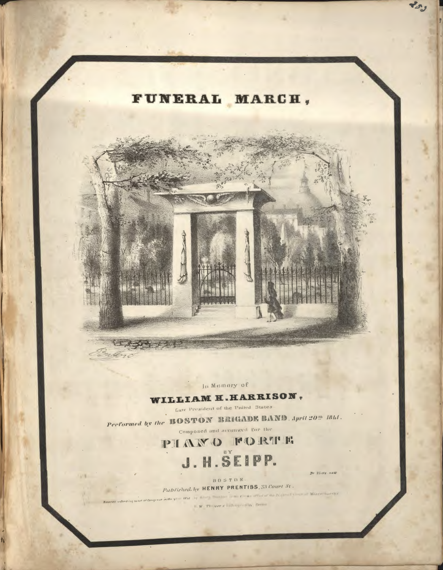# FUNERAL MARCH,

In Memory of

## WILLIAM H.HARRISON.

Late President of the United States

Performed by the BOSTON BRIGADE BAND. April 20th 1841.

Composed and amanged for the

PIANO FORTE

Pr 25 cts nett

BOSTON Published by HENRY PRENTISS, 33 Court St.

where we have the common or the figure of the

**H. W. This yer s lathappenity came**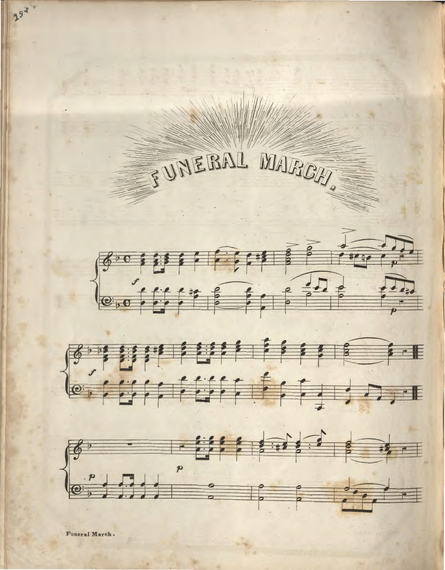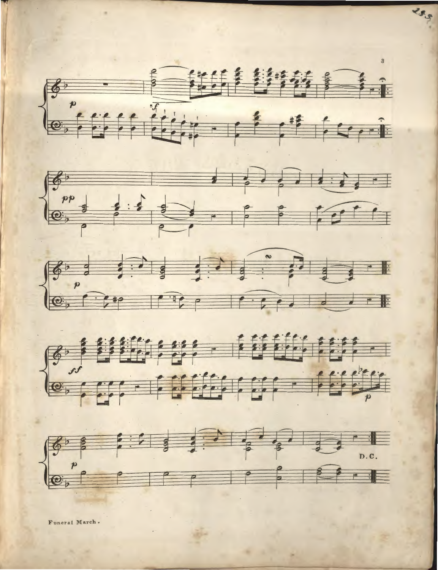









Funeral March•